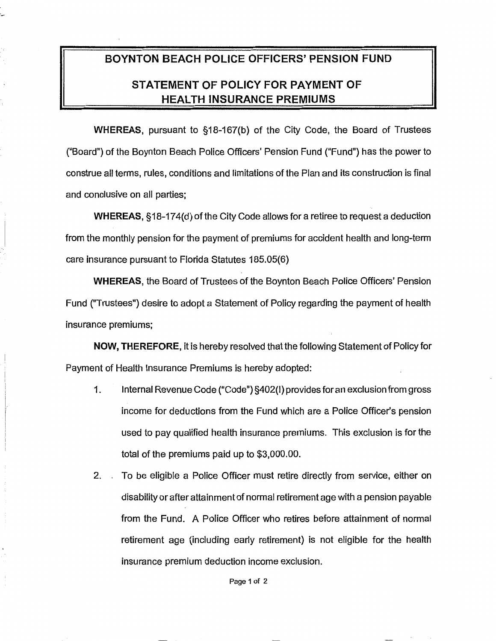## **BOYNTON BEACH POLICE OFFICERS' PENSION FUND STATEMENT OF POLICY FOR PAYMENT OF HEALTH INSURANCE PREMIUMS**

·-

**WHEREAS,** pursuant to §18-167(b) of the City Code, the Board of Trustees ("Board") of the Boynton Beach Police Officers' Pension Fund ("Fund") has the power to construe all terms, rules, conditions and limitations of the Plan and its construction is final and conclusive on all parties;

**WHEREAS,** §18-174(d) of the City Code allows for a retiree to request a deduction from the monthly pension for the payment of premiums for accident health and long-term care insurance pursuant to Florida Statutes 185.05(6)

**WHEREAS,** the Board of Trustees of the Boynton Beach Police Officers' Pension Fund ("Trustees") desire to adopt a Statement of Policy regarding the payment of health insurance premiums;

**NOW, THEREFORE,** it is hereby resolved that the following Statement of Policy for Payment of Health Insurance Premiums is hereby adopted:

- 1. Internal Revenue Code ("Code") §402(1) provides for an exclusion from gross income for deductions from the Fund which are a Police Officer's pension used to pay qualified health insurance premiums. This exclusion is for the total of the premiums paid up to \$3,000.00.
- 2. . To be eligible a Police Officer must retire directly from service, either on disability or after attainment of normal retirement age with a pension payable from the Fund. A Police Officer who retires before attainment of normal retirement age (including early retirement) is not eligible for the health insurance premium deduction income exclusion.

Page 1 of 2